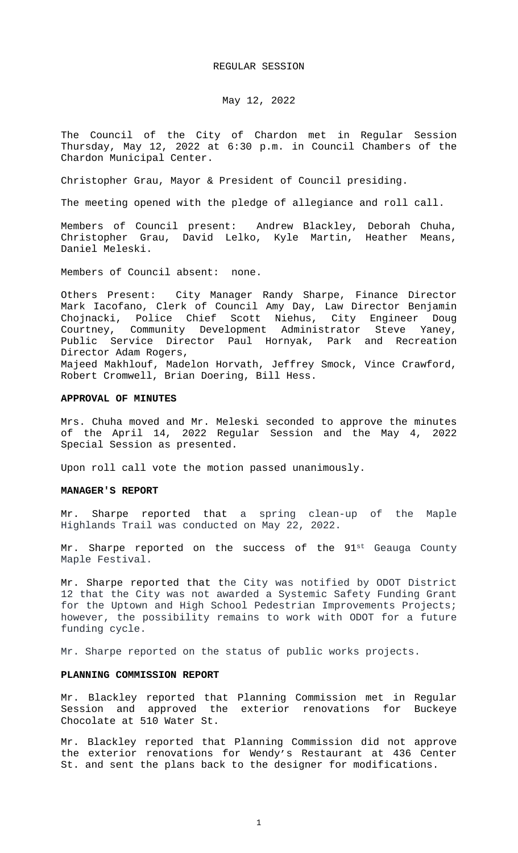#### REGULAR SESSION

# May 12, 2022

The Council of the City of Chardon met in Regular Session Thursday, May 12, 2022 at 6:30 p.m. in Council Chambers of the Chardon Municipal Center.

Christopher Grau, Mayor & President of Council presiding.

The meeting opened with the pledge of allegiance and roll call.

Members of Council present: Andrew Blackley, Deborah Chuha, Christopher Grau, David Lelko, Kyle Martin, Heather Means, Daniel Meleski.

Members of Council absent: none.

Others Present: City Manager Randy Sharpe, Finance Director Mark Iacofano, Clerk of Council Amy Day, Law Director Benjamin Chojnacki, Police Chief Scott Niehus, City Engineer Doug Courtney, Community Development Administrator Steve Yaney, Public Service Director Paul Hornyak, Park and Recreation Director Adam Rogers, Majeed Makhlouf, Madelon Horvath, Jeffrey Smock, Vince Crawford, Robert Cromwell, Brian Doering, Bill Hess.

#### **APPROVAL OF MINUTES**

Mrs. Chuha moved and Mr. Meleski seconded to approve the minutes of the April 14, 2022 Regular Session and the May 4, 2022 Special Session as presented.

Upon roll call vote the motion passed unanimously.

#### **MANAGER'S REPORT**

Mr. Sharpe reported that a spring clean-up of the Maple Highlands Trail was conducted on May 22, 2022.

Mr. Sharpe reported on the success of the 91st Geauga County Maple Festival.

Mr. Sharpe reported that the City was notified by ODOT District 12 that the City was not awarded a Systemic Safety Funding Grant for the Uptown and High School Pedestrian Improvements Projects; however, the possibility remains to work with ODOT for a future funding cycle.

Mr. Sharpe reported on the status of public works projects.

### **PLANNING COMMISSION REPORT**

Mr. Blackley reported that Planning Commission met in Regular Session and approved the exterior renovations for Buckeye Chocolate at 510 Water St.

Mr. Blackley reported that Planning Commission did not approve the exterior renovations for Wendy's Restaurant at 436 Center St. and sent the plans back to the designer for modifications.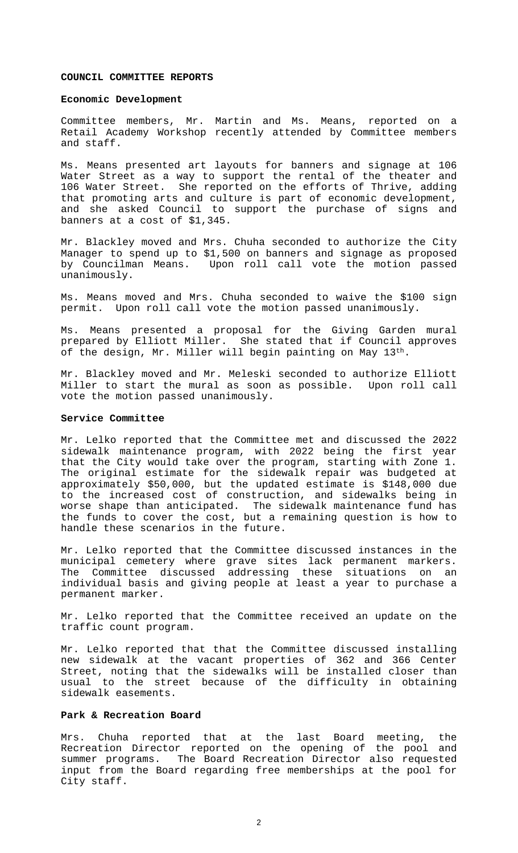### **COUNCIL COMMITTEE REPORTS**

#### **Economic Development**

Committee members, Mr. Martin and Ms. Means, reported on a Retail Academy Workshop recently attended by Committee members and staff.

Ms. Means presented art layouts for banners and signage at 106 Water Street as a way to support the rental of the theater and 106 Water Street. She reported on the efforts of Thrive, adding that promoting arts and culture is part of economic development, and she asked Council to support the purchase of signs and banners at a cost of \$1,345.

Mr. Blackley moved and Mrs. Chuha seconded to authorize the City Manager to spend up to \$1,500 on banners and signage as proposed by Councilman Means. Upon roll call vote the motion passed unanimously.

Ms. Means moved and Mrs. Chuha seconded to waive the \$100 sign permit. Upon roll call vote the motion passed unanimously.

Ms. Means presented a proposal for the Giving Garden mural prepared by Elliott Miller. She stated that if Council approves of the design, Mr. Miller will begin painting on May 13<sup>th</sup>.

Mr. Blackley moved and Mr. Meleski seconded to authorize Elliott Miller to start the mural as soon as possible. Upon roll call vote the motion passed unanimously.

### **Service Committee**

Mr. Lelko reported that the Committee met and discussed the 2022 sidewalk maintenance program, with 2022 being the first year that the City would take over the program, starting with Zone 1. The original estimate for the sidewalk repair was budgeted at approximately \$50,000, but the updated estimate is \$148,000 due to the increased cost of construction, and sidewalks being in worse shape than anticipated. The sidewalk maintenance fund has the funds to cover the cost, but a remaining question is how to handle these scenarios in the future.

Mr. Lelko reported that the Committee discussed instances in the municipal cemetery where grave sites lack permanent markers. The Committee discussed addressing these situations on an individual basis and giving people at least a year to purchase a permanent marker.

Mr. Lelko reported that the Committee received an update on the traffic count program.

Mr. Lelko reported that that the Committee discussed installing new sidewalk at the vacant properties of 362 and 366 Center Street, noting that the sidewalks will be installed closer than usual to the street because of the difficulty in obtaining sidewalk easements.

## **Park & Recreation Board**

Mrs. Chuha reported that at the last Board meeting, the Recreation Director reported on the opening of the pool and summer programs. The Board Recreation Director also requested input from the Board regarding free memberships at the pool for City staff.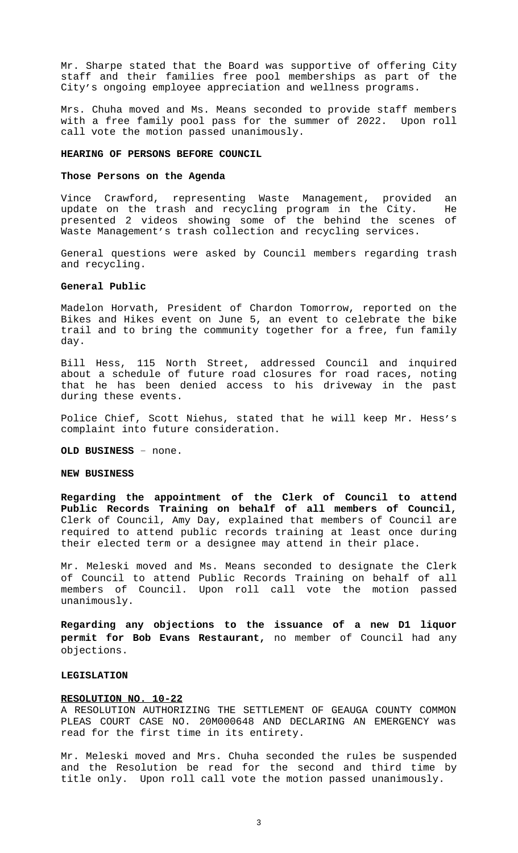Mr. Sharpe stated that the Board was supportive of offering City staff and their families free pool memberships as part of the City's ongoing employee appreciation and wellness programs.

Mrs. Chuha moved and Ms. Means seconded to provide staff members with a free family pool pass for the summer of 2022. Upon roll call vote the motion passed unanimously.

### **HEARING OF PERSONS BEFORE COUNCIL**

#### **Those Persons on the Agenda**

Vince Crawford, representing Waste Management, provided an update on the trash and recycling program in the City. He presented 2 videos showing some of the behind the scenes of Waste Management's trash collection and recycling services.

General questions were asked by Council members regarding trash and recycling.

#### **General Public**

Madelon Horvath, President of Chardon Tomorrow, reported on the Bikes and Hikes event on June 5, an event to celebrate the bike trail and to bring the community together for a free, fun family day.

Bill Hess, 115 North Street, addressed Council and inquired about a schedule of future road closures for road races, noting that he has been denied access to his driveway in the past during these events.

Police Chief, Scott Niehus, stated that he will keep Mr. Hess's complaint into future consideration.

**OLD BUSINESS** – none.

#### **NEW BUSINESS**

**Regarding the appointment of the Clerk of Council to attend Public Records Training on behalf of all members of Council,** Clerk of Council, Amy Day, explained that members of Council are required to attend public records training at least once during their elected term or a designee may attend in their place.

Mr. Meleski moved and Ms. Means seconded to designate the Clerk of Council to attend Public Records Training on behalf of all members of Council. Upon roll call vote the motion passed unanimously.

**Regarding any objections to the issuance of a new D1 liquor permit for Bob Evans Restaurant,** no member of Council had any objections.

### **LEGISLATION**

#### **RESOLUTION NO. 10-22**

A RESOLUTION AUTHORIZING THE SETTLEMENT OF GEAUGA COUNTY COMMON PLEAS COURT CASE NO. 20M000648 AND DECLARING AN EMERGENCY was read for the first time in its entirety.

Mr. Meleski moved and Mrs. Chuha seconded the rules be suspended and the Resolution be read for the second and third time by title only. Upon roll call vote the motion passed unanimously.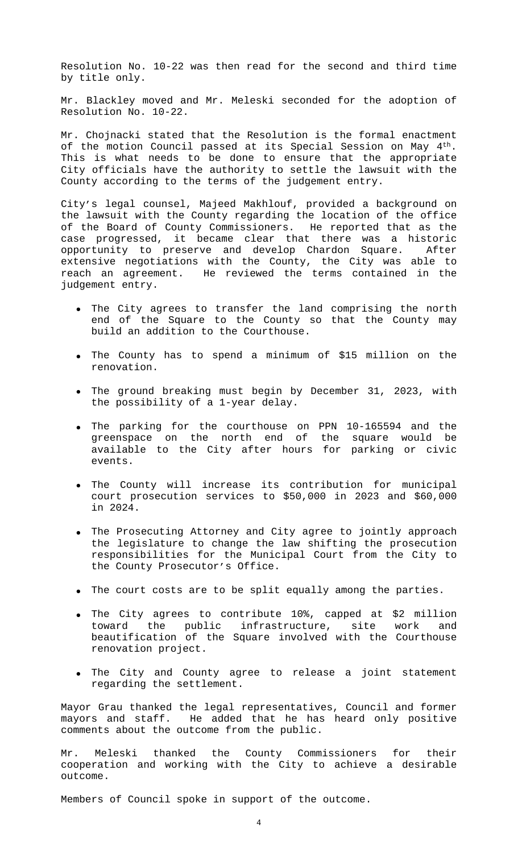Resolution No. 10-22 was then read for the second and third time by title only.

Mr. Blackley moved and Mr. Meleski seconded for the adoption of Resolution No. 10-22.

Mr. Chojnacki stated that the Resolution is the formal enactment of the motion Council passed at its Special Session on May 4<sup>th</sup>. This is what needs to be done to ensure that the appropriate City officials have the authority to settle the lawsuit with the County according to the terms of the judgement entry.

City's legal counsel, Majeed Makhlouf, provided a background on the lawsuit with the County regarding the location of the office of the Board of County Commissioners. He reported that as the case progressed, it became clear that there was a historic opportunity to preserve and develop Chardon Square. After extensive negotiations with the County, the City was able to reach an agreement. He reviewed the terms contained in the judgement entry.

- The City agrees to transfer the land comprising the north end of the Square to the County so that the County may build an addition to the Courthouse.
- The County has to spend a minimum of \$15 million on the renovation.
- The ground breaking must begin by December 31, 2023, with the possibility of a 1-year delay.
- The parking for the courthouse on PPN 10-165594 and the greenspace on the north end of the square would be available to the City after hours for parking or civic events.
- The County will increase its contribution for municipal court prosecution services to \$50,000 in 2023 and \$60,000 in 2024.
- The Prosecuting Attorney and City agree to jointly approach the legislature to change the law shifting the prosecution responsibilities for the Municipal Court from the City to the County Prosecutor's Office.
- The court costs are to be split equally among the parties.
- The City agrees to contribute 10%, capped at \$2 million<br>toward the public infrastructure, site work and toward the public infrastructure, site work and beautification of the Square involved with the Courthouse renovation project.
- The City and County agree to release a joint statement regarding the settlement.

Mayor Grau thanked the legal representatives, Council and former mayors and staff. He added that he has heard only positive comments about the outcome from the public.

Mr. Meleski thanked the County Commissioners for their cooperation and working with the City to achieve a desirable outcome.

Members of Council spoke in support of the outcome.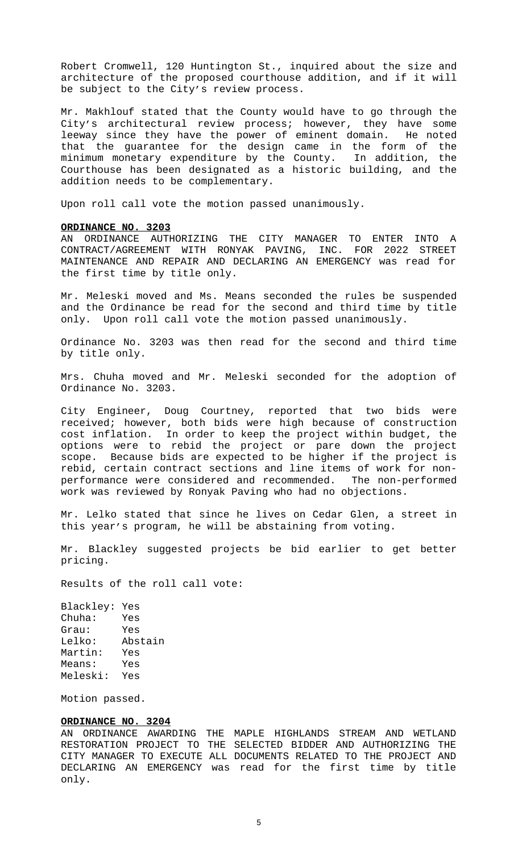Robert Cromwell, 120 Huntington St., inquired about the size and architecture of the proposed courthouse addition, and if it will be subject to the City's review process.

Mr. Makhlouf stated that the County would have to go through the City's architectural review process; however, they have some leeway since they have the power of eminent domain. He noted that the guarantee for the design came in the form of the minimum monetary expenditure by the County. In addition, the Courthouse has been designated as a historic building, and the addition needs to be complementary.

Upon roll call vote the motion passed unanimously.

## **ORDINANCE NO. 3203**

AN ORDINANCE AUTHORIZING THE CITY MANAGER TO ENTER INTO A CONTRACT/AGREEMENT WITH RONYAK PAVING, INC. FOR 2022 STREET MAINTENANCE AND REPAIR AND DECLARING AN EMERGENCY was read for the first time by title only.

Mr. Meleski moved and Ms. Means seconded the rules be suspended and the Ordinance be read for the second and third time by title only. Upon roll call vote the motion passed unanimously.

Ordinance No. 3203 was then read for the second and third time by title only.

Mrs. Chuha moved and Mr. Meleski seconded for the adoption of Ordinance No. 3203.

City Engineer, Doug Courtney, reported that two bids were received; however, both bids were high because of construction cost inflation. In order to keep the project within budget, the options were to rebid the project or pare down the project scope. Because bids are expected to be higher if the project is rebid, certain contract sections and line items of work for nonperformance were considered and recommended. The non-performed work was reviewed by Ronyak Paving who had no objections.

Mr. Lelko stated that since he lives on Cedar Glen, a street in this year's program, he will be abstaining from voting.

Mr. Blackley suggested projects be bid earlier to get better pricing.

Results of the roll call vote:

Blackley: Yes Chuha: Yes Grau: Yes Lelko: Abstain Martin: Yes Means: Yes Meleski: Yes

Motion passed.

#### **ORDINANCE NO. 3204**

AN ORDINANCE AWARDING THE MAPLE HIGHLANDS STREAM AND WETLAND RESTORATION PROJECT TO THE SELECTED BIDDER AND AUTHORIZING THE CITY MANAGER TO EXECUTE ALL DOCUMENTS RELATED TO THE PROJECT AND DECLARING AN EMERGENCY was read for the first time by title only.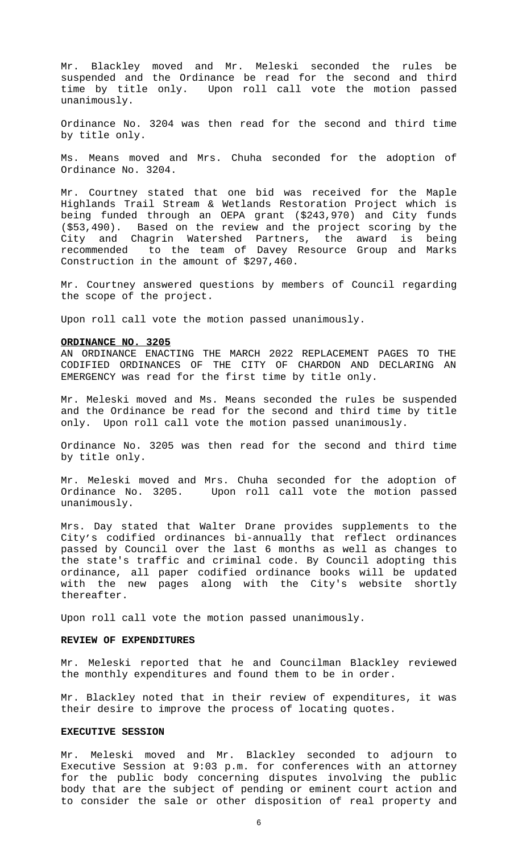Mr. Blackley moved and Mr. Meleski seconded the rules be suspended and the Ordinance be read for the second and third time by title only. Upon roll call vote the motion passed unanimously.

Ordinance No. 3204 was then read for the second and third time by title only.

Ms. Means moved and Mrs. Chuha seconded for the adoption of Ordinance No. 3204.

Mr. Courtney stated that one bid was received for the Maple Highlands Trail Stream & Wetlands Restoration Project which is being funded through an OEPA grant (\$243,970) and City funds (\$53,490). Based on the review and the project scoring by the City and Chagrin Watershed Partners, the award is being recommended to the team of Davey Resource Group and Marks Construction in the amount of \$297,460.

Mr. Courtney answered questions by members of Council regarding the scope of the project.

Upon roll call vote the motion passed unanimously.

# **ORDINANCE NO. 3205**

AN ORDINANCE ENACTING THE MARCH 2022 REPLACEMENT PAGES TO THE CODIFIED ORDINANCES OF THE CITY OF CHARDON AND DECLARING AN EMERGENCY was read for the first time by title only.

Mr. Meleski moved and Ms. Means seconded the rules be suspended and the Ordinance be read for the second and third time by title only. Upon roll call vote the motion passed unanimously.

Ordinance No. 3205 was then read for the second and third time by title only.

Mr. Meleski moved and Mrs. Chuha seconded for the adoption of Ordinance No. 3205. Upon roll call vote the motion passed unanimously.

Mrs. Day stated that Walter Drane provides supplements to the City's codified ordinances bi-annually that reflect ordinances passed by Council over the last 6 months as well as changes to the state's traffic and criminal code. By Council adopting this ordinance, all paper codified ordinance books will be updated with the new pages along with the City's website shortly thereafter.

Upon roll call vote the motion passed unanimously.

## **REVIEW OF EXPENDITURES**

Mr. Meleski reported that he and Councilman Blackley reviewed the monthly expenditures and found them to be in order.

Mr. Blackley noted that in their review of expenditures, it was their desire to improve the process of locating quotes.

# **EXECUTIVE SESSION**

Mr. Meleski moved and Mr. Blackley seconded to adjourn to Executive Session at 9:03 p.m. for conferences with an attorney for the public body concerning disputes involving the public body that are the subject of pending or eminent court action and to consider the sale or other disposition of real property and